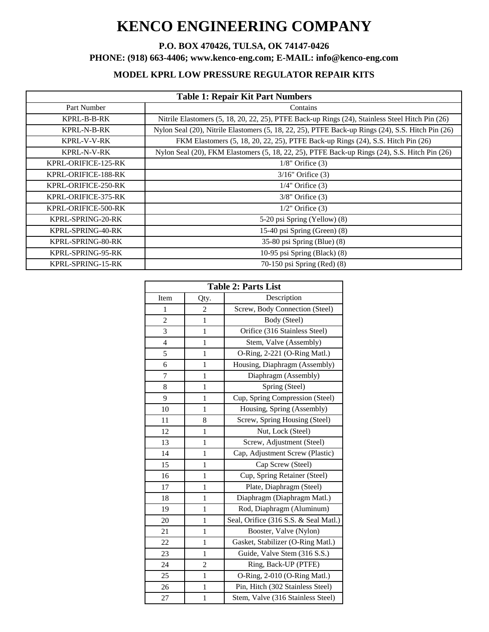# **KENCO ENGINEERING COMPANY**

## **P.O. BOX 470426, TULSA, OK 74147-0426**

**PHONE: (918) 663-4406; www.kenco-eng.com; E-MAIL: info@kenco-eng.com**

## **MODEL KPRL LOW PRESSURE REGULATOR REPAIR KITS**

| <b>Table 1: Repair Kit Part Numbers</b> |                                                                                                   |  |  |
|-----------------------------------------|---------------------------------------------------------------------------------------------------|--|--|
| Part Number                             | Contains                                                                                          |  |  |
| KPRL-B-B-RK                             | Nitrile Elastomers (5, 18, 20, 22, 25), PTFE Back-up Rings (24), Stainless Steel Hitch Pin (26)   |  |  |
| <b>KPRL-N-B-RK</b>                      | Nylon Seal (20), Nitrile Elastomers (5, 18, 22, 25), PTFE Back-up Rings (24), S.S. Hitch Pin (26) |  |  |
| <b>KPRL-V-V-RK</b>                      | FKM Elastomers (5, 18, 20, 22, 25), PTFE Back-up Rings (24), S.S. Hitch Pin (26)                  |  |  |
| KPRL-N-V-RK                             | Nylon Seal (20), FKM Elastomers (5, 18, 22, 25), PTFE Back-up Rings (24), S.S. Hitch Pin (26)     |  |  |
| KPRL-ORIFICE-125-RK                     | $1/8$ " Orifice $(3)$                                                                             |  |  |
| KPRL-ORIFICE-188-RK                     | $3/16$ " Orifice $(3)$                                                                            |  |  |
| KPRL-ORIFICE-250-RK                     | $1/4$ " Orifice $(3)$                                                                             |  |  |
| KPRL-ORIFICE-375-RK                     | $3/8$ " Orifice $(3)$                                                                             |  |  |
| KPRL-ORIFICE-500-RK                     | $1/2$ " Orifice $(3)$                                                                             |  |  |
| KPRL-SPRING-20-RK                       | 5-20 psi Spring (Yellow) (8)                                                                      |  |  |
| KPRL-SPRING-40-RK                       | 15-40 psi Spring (Green) (8)                                                                      |  |  |
| KPRL-SPRING-80-RK                       | 35-80 psi Spring (Blue) (8)                                                                       |  |  |
| KPRL-SPRING-95-RK                       | 10-95 psi Spring (Black) (8)                                                                      |  |  |
| KPRL-SPRING-15-RK                       | 70-150 psi Spring (Red) (8)                                                                       |  |  |

| <b>Table 2: Parts List</b> |                |                                       |  |
|----------------------------|----------------|---------------------------------------|--|
| Item                       | Qty.           | Description                           |  |
| $\mathbf{1}$               | $\overline{2}$ | Screw, Body Connection (Steel)        |  |
| 2                          | 1              | Body (Steel)                          |  |
| 3                          | $\mathbf{1}$   | Orifice (316 Stainless Steel)         |  |
| $\overline{4}$             | $\mathbf{1}$   | Stem, Valve (Assembly)                |  |
| 5                          | $\mathbf{1}$   | O-Ring, 2-221 (O-Ring Matl.)          |  |
| 6                          | 1              | Housing, Diaphragm (Assembly)         |  |
| 7                          | $\mathbf{1}$   | Diaphragm (Assembly)                  |  |
| 8                          | 1              | Spring (Steel)                        |  |
| 9                          | 1              | Cup, Spring Compression (Steel)       |  |
| 10                         | $\mathbf{1}$   | Housing, Spring (Assembly)            |  |
| 11                         | 8              | Screw, Spring Housing (Steel)         |  |
| 12                         | $\mathbf{1}$   | Nut, Lock (Steel)                     |  |
| 13                         | $\mathbf{1}$   | Screw, Adjustment (Steel)             |  |
| 14                         | 1              | Cap, Adjustment Screw (Plastic)       |  |
| 15                         | 1              | Cap Screw (Steel)                     |  |
| 16                         | 1              | Cup, Spring Retainer (Steel)          |  |
| 17                         | $\mathbf{1}$   | Plate, Diaphragm (Steel)              |  |
| 18                         | 1              | Diaphragm (Diaphragm Matl.)           |  |
| 19                         | 1              | Rod, Diaphragm (Aluminum)             |  |
| 20                         | 1              | Seal, Orifice (316 S.S. & Seal Matl.) |  |
| 21                         | 1              | Booster, Valve (Nylon)                |  |
| 22                         | $\mathbf{1}$   | Gasket, Stabilizer (O-Ring Matl.)     |  |
| 23                         | 1              | Guide, Valve Stem (316 S.S.)          |  |
| 24                         | $\overline{c}$ | Ring, Back-UP (PTFE)                  |  |
| 25                         | 1              | O-Ring, 2-010 (O-Ring Matl.)          |  |
| 26                         | $\mathbf{1}$   | Pin, Hitch (302 Stainless Steel)      |  |
| 27                         | 1              | Stem, Valve (316 Stainless Steel)     |  |